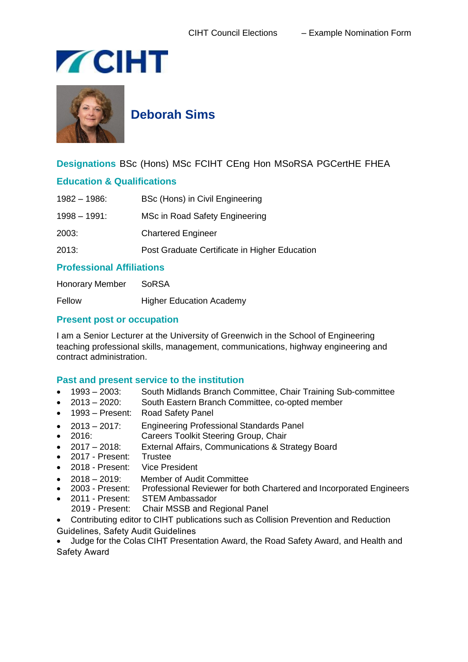



**Deborah Sims**

**Designations** BSc (Hons) MSc FCIHT CEng Hon MSoRSA PGCertHE FHEA

## **Education & Qualifications**

| $1982 - 1986$ : | BSc (Hons) in Civil Engineering               |
|-----------------|-----------------------------------------------|
| $1998 - 1991$ : | MSc in Road Safety Engineering                |
| 2003:           | <b>Chartered Engineer</b>                     |
| 2013:           | Post Graduate Certificate in Higher Education |
|                 |                                               |

## **Professional Affiliations**

Honorary Member SoRSA Fellow Higher Education Academy

## **Present post or occupation**

I am a Senior Lecturer at the University of Greenwich in the School of Engineering teaching professional skills, management, communications, highway engineering and contract administration.

## **Past and present service to the institution**

- 1993 2003: South Midlands Branch Committee, Chair Training Sub-committee
- 2013 2020: South Eastern Branch Committee, co-opted member
- 1993 Present: Road Safety Panel
- 2013 2017: Engineering Professional Standards Panel
- 2016: Careers Toolkit Steering Group, Chair
- 2017 2018: External Affairs, Communications & Strategy Board
- 2017 Present: Trustee
- 2018 Present: Vice President
- 2018 2019: Member of Audit Committee<br>• 2003 Present: Professional Reviewer for bo
- Professional Reviewer for both Chartered and Incorporated Engineers
- 2011 Present: STEM Ambassador
	- 2019 Present: Chair MSSB and Regional Panel
- Contributing editor to CIHT publications such as Collision Prevention and Reduction Guidelines, Safety Audit Guidelines

 Judge for the Colas CIHT Presentation Award, the Road Safety Award, and Health and Safety Award